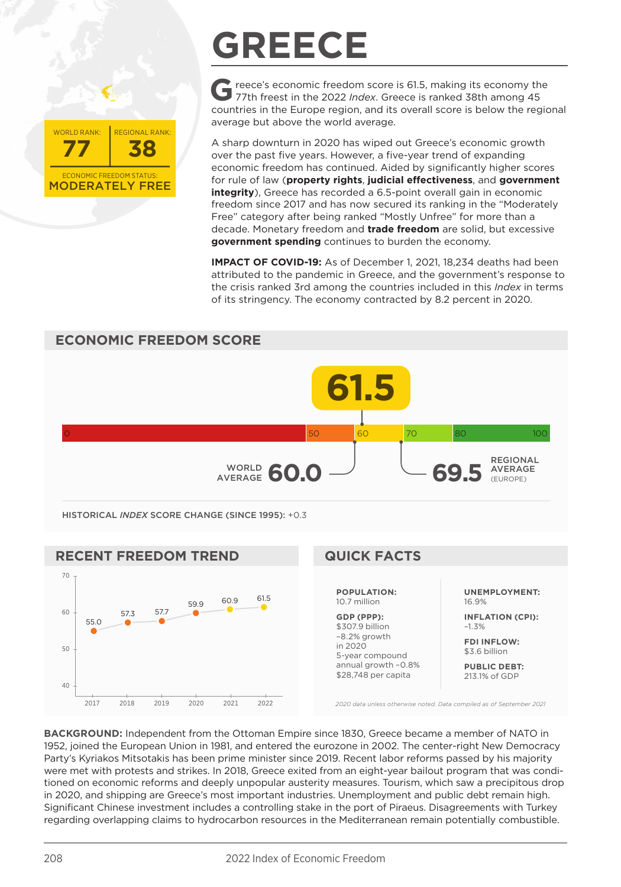

## **GREECE**

**G** reece's economic freedom score is 61.5, making its economy the 77th freest in the 2022 *Index*. Greece is ranked 38th among 45 countries in the Europe region, and its overall score is below the regional average but above the world average.

A sharp downturn in 2020 has wiped out Greece's economic growth over the past five years. However, a five-year trend of expanding economic freedom has continued. Aided by significantly higher scores for rule of law (**property rights**, **judicial effectiveness**, and **government integrity**). Greece has recorded a 6.5-point overall gain in economic freedom since 2017 and has now secured its ranking in the "Moderately Free" category after being ranked "Mostly Unfree" for more than a decade. Monetary freedom and **trade freedom** are solid, but excessive **government spending** continues to burden the economy.

**IMPACT OF COVID-19:** As of December 1, 2021, 18,234 deaths had been attributed to the pandemic in Greece, and the government's response to the crisis ranked 3rd among the countries included in this *Index* in terms of its stringency. The economy contracted by 8.2 percent in 2020.





**BACKGROUND:** Independent from the Ottoman Empire since 1830, Greece became a member of NATO in 1952, joined the European Union in 1981, and entered the eurozone in 2002. The center-right New Democracy Party's Kyriakos Mitsotakis has been prime minister since 2019. Recent labor reforms passed by his majority were met with protests and strikes. In 2018, Greece exited from an eight-year bailout program that was conditioned on economic reforms and deeply unpopular austerity measures. Tourism, which saw a precipitous drop in 2020, and shipping are Greece's most important industries. Unemployment and public debt remain high. Significant Chinese investment includes a controlling stake in the port of Piraeus. Disagreements with Turkey regarding overlapping claims to hydrocarbon resources in the Mediterranean remain potentially combustible.